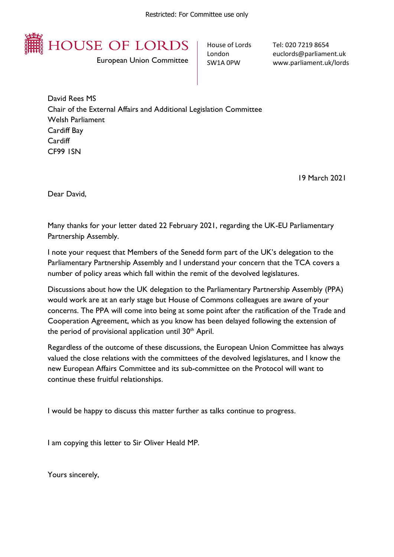

European Union Committee

House of Lords London SW1A 0PW

Tel: 020 7219 8654 euclords@parliament.uk www.parliament.uk/lords

David Rees MS Chair of the External Affairs and Additional Legislation Committee Welsh Parliament Cardiff Bay **Cardiff** CF99 1SN

19 March 2021

Dear David,

Many thanks for your letter dated 22 February 2021, regarding the UK-EU Parliamentary Partnership Assembly.

I note your request that Members of the Senedd form part of the UK's delegation to the Parliamentary Partnership Assembly and I understand your concern that the TCA covers a number of policy areas which fall within the remit of the devolved legislatures.

Discussions about how the UK delegation to the Parliamentary Partnership Assembly (PPA) would work are at an early stage but House of Commons colleagues are aware of your concerns. The PPA will come into being at some point after the ratification of the Trade and Cooperation Agreement, which as you know has been delayed following the extension of the period of provisional application until  $30<sup>th</sup>$  April.

Regardless of the outcome of these discussions, the European Union Committee has always valued the close relations with the committees of the devolved legislatures, and I know the new European Affairs Committee and its sub-committee on the Protocol will want to continue these fruitful relationships.

I would be happy to discuss this matter further as talks continue to progress.

I am copying this letter to Sir Oliver Heald MP.

Yours sincerely,